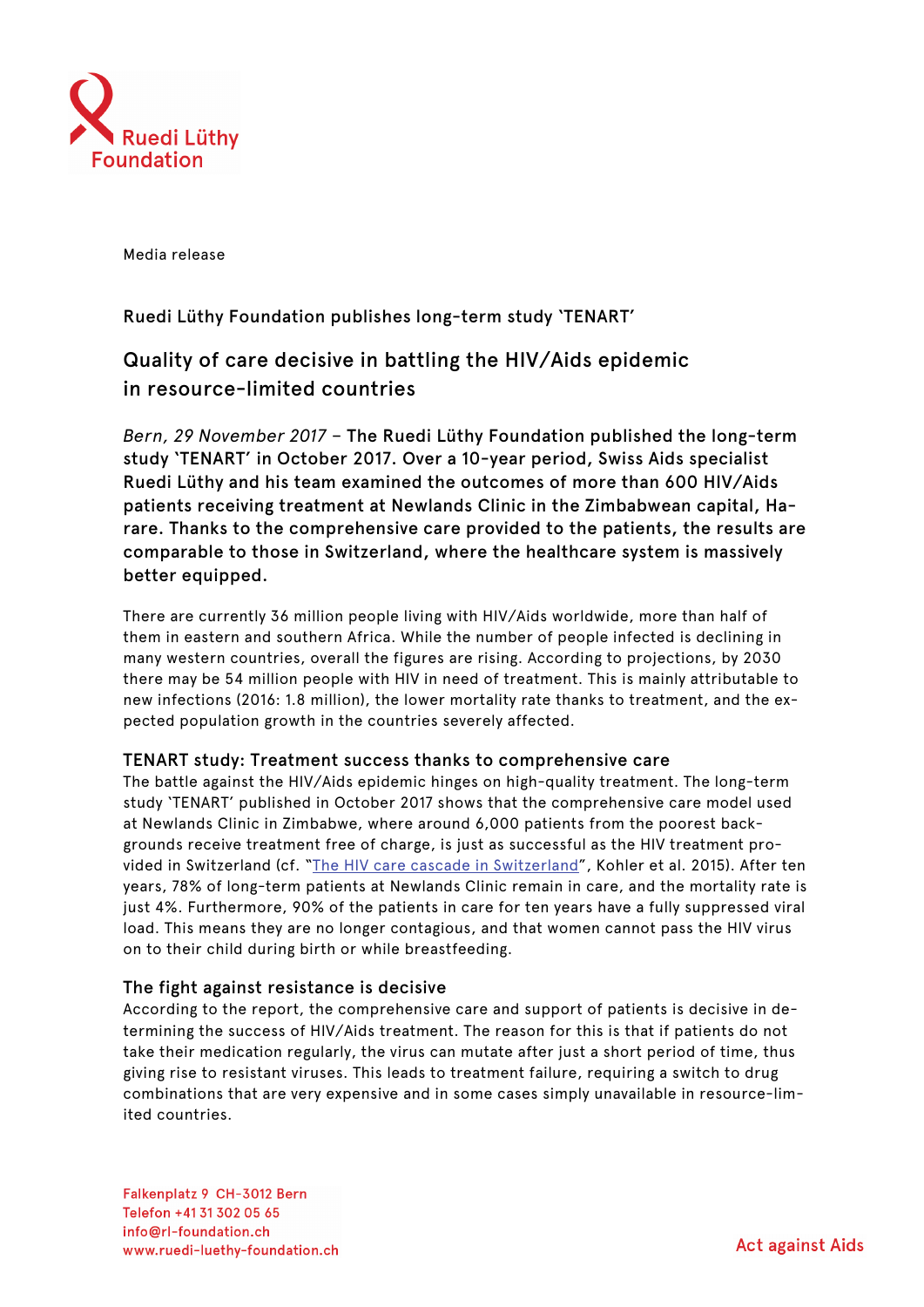

Media release

## Ruedi Lüthy Foundation publishes long-term study 'TENART'

# Quality of care decisive in battling the HIV/Aids epidemic in resource-limited countries

*Bern, 29 November 2017* – The Ruedi Lüthy Foundation published the long-term study 'TENART' in October 2017. Over a 10-year period, Swiss Aids specialist Ruedi Lüthy and his team examined the outcomes of more than 600 HIV/Aids patients receiving treatment at Newlands Clinic in the Zimbabwean capital, Harare. Thanks to the comprehensive care provided to the patients, the results are comparable to those in Switzerland, where the healthcare system is massively better equipped.

There are currently 36 million people living with HIV/Aids worldwide, more than half of them in eastern and southern Africa. While the number of people infected is declining in many western countries, overall the figures are rising. According to projections, by 2030 there may be 54 million people with HIV in need of treatment. This is mainly attributable to new infections (2016: 1.8 million), the lower mortality rate thanks to treatment, and the expected population growth in the countries severely affected.

#### TENART study: Treatment success thanks to comprehensive care

The battle against the HIV/Aids epidemic hinges on high-quality treatment. The long-term study 'TENART' published in October 2017 shows that the comprehensive care model used at Newlands Clinic in Zimbabwe, where around 6,000 patients from the poorest backgrounds receive treatment free of charge, is just as successful as the HIV treatment provided in Switzerland (cf. "The HIV care cascade in Switzerland", Kohler et al. 2015). After ten years, 78% of long-term patients at Newlands Clinic remain in care, and the mortality rate is just 4%. Furthermore, 90% of the patients in care for ten years have a fully suppressed viral load. This means they are no longer contagious, and that women cannot pass the HIV virus on to their child during birth or while breastfeeding.

#### The fight against resistance is decisive

According to the report, the comprehensive care and support of patients is decisive in determining the success of HIV/Aids treatment. The reason for this is that if patients do not take their medication regularly, the virus can mutate after just a short period of time, thus giving rise to resistant viruses. This leads to treatment failure, requiring a switch to drug combinations that are very expensive and in some cases simply unavailable in resource-limited countries.